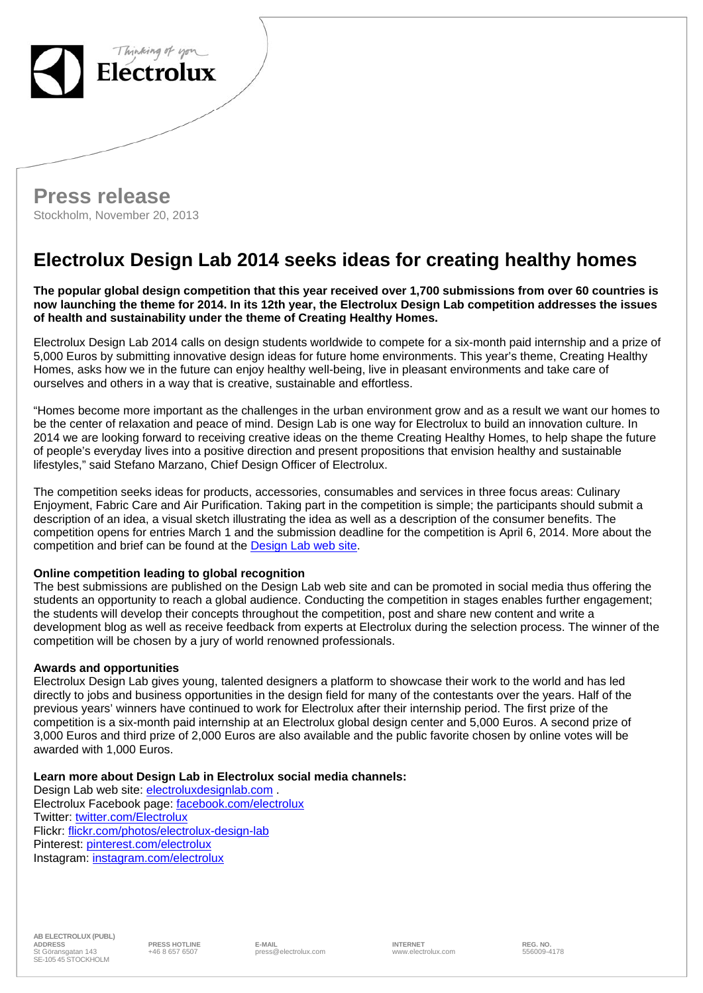



## **Electrolux Design Lab 2014 seeks ideas for creating healthy homes**

**The popular global design competition that this year received over 1,700 submissions from over 60 countries is now launching the theme for 2014. In its 12th year, the Electrolux Design Lab competition addresses the issues of health and sustainability under the theme of Creating Healthy Homes.** 

Electrolux Design Lab 2014 calls on design students worldwide to compete for a six-month paid internship and a prize of 5,000 Euros by submitting innovative design ideas for future home environments. This year's theme, Creating Healthy Homes, asks how we in the future can enjoy healthy well-being, live in pleasant environments and take care of ourselves and others in a way that is creative, sustainable and effortless.

"Homes become more important as the challenges in the urban environment grow and as a result we want our homes to be the center of relaxation and peace of mind. Design Lab is one way for Electrolux to build an innovation culture. In 2014 we are looking forward to receiving creative ideas on the theme Creating Healthy Homes, to help shape the future of people's everyday lives into a positive direction and present propositions that envision healthy and sustainable lifestyles," said Stefano Marzano, Chief Design Officer of Electrolux.

The competition seeks ideas for products, accessories, consumables and services in three focus areas: Culinary Enjoyment, Fabric Care and Air Purification. Taking part in the competition is simple; the participants should submit a description of an idea, a visual sketch illustrating the idea as well as a description of the consumer benefits. The competition opens for entries March 1 and the submission deadline for the competition is April 6, 2014. More about the competition and brief can be found at the Design Lab web site.

## **Online competition leading to global recognition**

The best submissions are published on the Design Lab web site and can be promoted in social media thus offering the students an opportunity to reach a global audience. Conducting the competition in stages enables further engagement; the students will develop their concepts throughout the competition, post and share new content and write a development blog as well as receive feedback from experts at Electrolux during the selection process. The winner of the competition will be chosen by a jury of world renowned professionals.

## **Awards and opportunities**

Electrolux Design Lab gives young, talented designers a platform to showcase their work to the world and has led directly to jobs and business opportunities in the design field for many of the contestants over the years. Half of the previous years' winners have continued to work for Electrolux after their internship period. The first prize of the competition is a six-month paid internship at an Electrolux global design center and 5,000 Euros. A second prize of 3,000 Euros and third prize of 2,000 Euros are also available and the public favorite chosen by online votes will be awarded with 1,000 Euros.

## **Learn more about Design Lab in Electrolux social media channels:**

Design Lab web site: electroluxdesignlab.com . Electrolux Facebook page: facebook.com/electrolux Twitter: twitter.com/Electrolux Flickr: flickr.com/photos/electrolux-design-lab Pinterest: pinterest.com/electrolux Instagram: instagram.com/electrolux

eright of the Manusov E-MAIL E-MAIL and the MERIC SC EXAMOUT CONSUMING THE REG. NO.<br>1989 press@electrolux.com www.electrolux.com 556009-4178